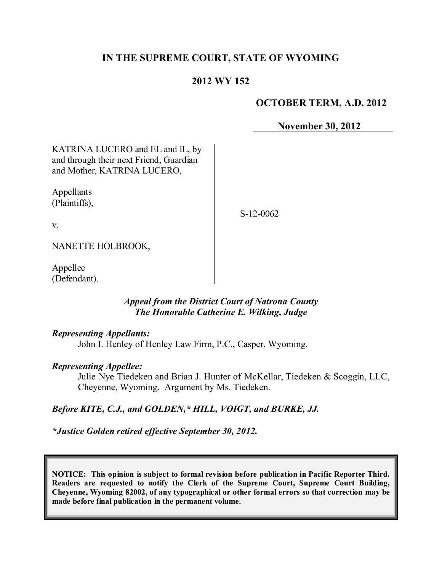# **IN THE SUPREME COURT, STATE OF WYOMING**

# **2012 WY 152**

### **OCTOBER TERM, A.D. 2012**

**November 30, 2012**

KATRINA LUCERO and EL and IL, by and through their next Friend, Guardian and Mother, KATRINA LUCERO,

Appellants (Plaintiffs),

S-12-0062

v.

NANETTE HOLBROOK,

Appellee (Defendant).

### *Appeal from the District Court of Natrona County The Honorable Catherine E. Wilking, Judge*

### *Representing Appellants:*

John I. Henley of Henley Law Firm, P.C., Casper, Wyoming.

#### *Representing Appellee:*

Julie Nye Tiedeken and Brian J. Hunter of McKellar, Tiedeken & Scoggin, LLC, Cheyenne, Wyoming. Argument by Ms. Tiedeken.

# *Before KITE, C.J., and GOLDEN,\* HILL, VOIGT, and BURKE, JJ.*

*\*Justice Golden retired effective September 30, 2012.*

**NOTICE: This opinion is subject to formal revision before publication in Pacific Reporter Third. Readers are requested to notify the Clerk of the Supreme Court, Supreme Court Building, Cheyenne, Wyoming 82002, of any typographical or other formal errors so that correction may be made before final publication in the permanent volume.**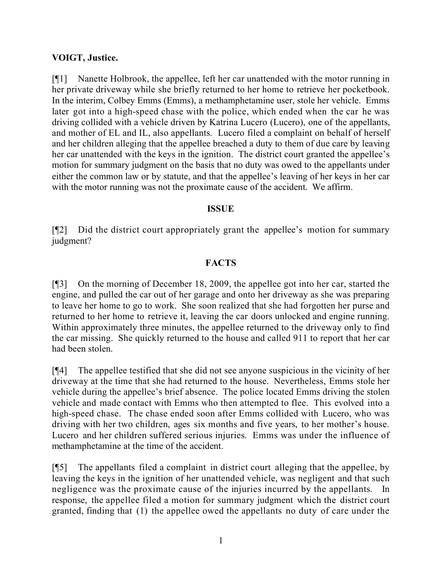# **VOIGT, Justice.**

[¶1] Nanette Holbrook, the appellee, left her car unattended with the motor running in her private driveway while she briefly returned to her home to retrieve her pocketbook. In the interim, Colbey Emms (Emms), a methamphetamine user, stole her vehicle. Emms later got into a high-speed chase with the police, which ended when the car he was driving collided with a vehicle driven by Katrina Lucero (Lucero), one of the appellants, and mother of EL and IL, also appellants. Lucero filed a complaint on behalf of herself and her children alleging that the appellee breached a duty to them of due care by leaving her car unattended with the keys in the ignition. The district court granted the appellee's motion for summary judgment on the basis that no duty was owed to the appellants under either the common law or by statute, and that the appellee's leaving of her keys in her car with the motor running was not the proximate cause of the accident. We affirm.

### **ISSUE**

[¶2] Did the district court appropriately grant the appellee's motion for summary judgment?

### **FACTS**

[¶3] On the morning of December 18, 2009, the appellee got into her car, started the engine, and pulled the car out of her garage and onto her driveway as she was preparing to leave her home to go to work. She soon realized that she had forgotten her purse and returned to her home to retrieve it, leaving the car doors unlocked and engine running. Within approximately three minutes, the appellee returned to the driveway only to find the car missing. She quickly returned to the house and called 911 to report that her car had been stolen.

[¶4] The appellee testified that she did not see anyone suspicious in the vicinity of her driveway at the time that she had returned to the house. Nevertheless, Emms stole her vehicle during the appellee's brief absence. The police located Emms driving the stolen vehicle and made contact with Emms who then attempted to flee. This evolved into a high-speed chase. The chase ended soon after Emms collided with Lucero, who was driving with her two children, ages six months and five years, to her mother's house. Lucero and her children suffered serious injuries. Emms was under the influence of methamphetamine at the time of the accident.

[¶5] The appellants filed a complaint in district court alleging that the appellee, by leaving the keys in the ignition of her unattended vehicle, was negligent and that such negligence was the proximate cause of the injuries incurred by the appellants. In response, the appellee filed a motion for summary judgment which the district court granted, finding that (1) the appellee owed the appellants no duty of care under the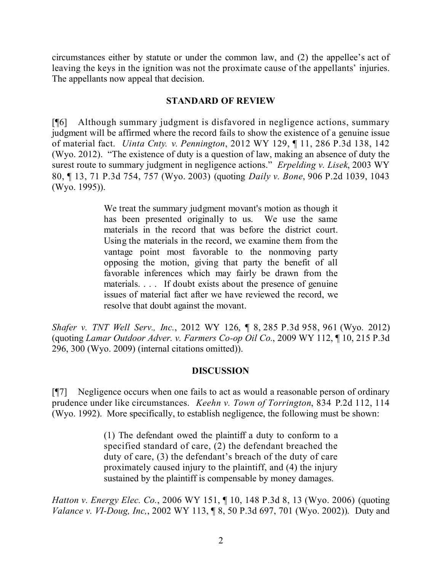circumstances either by statute or under the common law, and (2) the appellee's act of leaving the keys in the ignition was not the proximate cause of the appellants' injuries. The appellants now appeal that decision.

### **STANDARD OF REVIEW**

[¶6] Although summary judgment is disfavored in negligence actions, summary judgment will be affirmed where the record fails to show the existence of a genuine issue of material fact. *Uinta Cnty. v. Pennington*, 2012 WY 129, ¶ 11, 286 P.3d 138, 142 (Wyo. 2012). "The existence of duty is a question of law, making an absence of duty the surest route to summary judgment in negligence actions." *Erpelding v. Lisek*, 2003 WY 80, ¶ 13, 71 P.3d 754, 757 (Wyo. 2003) (quoting *Daily v. Bone*, 906 P.2d 1039, 1043 (Wyo. 1995)).

> We treat the summary judgment movant's motion as though it has been presented originally to us. We use the same materials in the record that was before the district court. Using the materials in the record, we examine them from the vantage point most favorable to the nonmoving party opposing the motion, giving that party the benefit of all favorable inferences which may fairly be drawn from the materials. . . . If doubt exists about the presence of genuine issues of material fact after we have reviewed the record, we resolve that doubt against the movant.

*Shafer v. TNT Well Serv., Inc.*, 2012 WY 126, ¶ 8, 285 P.3d 958, 961 (Wyo. 2012) (quoting *Lamar Outdoor Adver. v. Farmers Co-op Oil Co.*, 2009 WY 112, ¶ 10, 215 P.3d 296, 300 (Wyo. 2009) (internal citations omitted)).

# **DISCUSSION**

[¶7] Negligence occurs when one fails to act as would a reasonable person of ordinary prudence under like circumstances. *Keehn v. Town of Torrington*, 834 P.2d 112, 114 (Wyo. 1992). More specifically, to establish negligence, the following must be shown:

> (1) The defendant owed the plaintiff a duty to conform to a specified standard of care, (2) the defendant breached the duty of care, (3) the defendant's breach of the duty of care proximately caused injury to the plaintiff, and (4) the injury sustained by the plaintiff is compensable by money damages.

*Hatton v. Energy Elec. Co.*, 2006 WY 151, ¶ 10, 148 P.3d 8, 13 (Wyo. 2006) (quoting *Valance v. VI-Doug, Inc,*, 2002 WY 113, ¶ 8, 50 P.3d 697, 701 (Wyo. 2002)). Duty and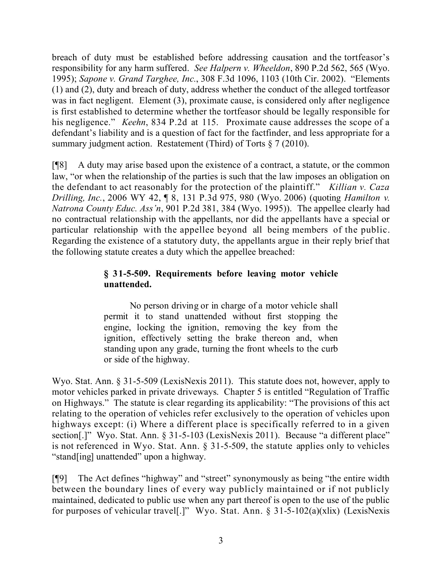breach of duty must be established before addressing causation and the tortfeasor's responsibility for any harm suffered. *See Halpern v. Wheeldon*, 890 P.2d 562, 565 (Wyo. 1995); *Sapone v. Grand Targhee, Inc.*, 308 F.3d 1096, 1103 (10th Cir. 2002). "Elements (1) and (2), duty and breach of duty, address whether the conduct of the alleged tortfeasor was in fact negligent. Element (3), proximate cause, is considered only after negligence is first established to determine whether the tortfeasor should be legally responsible for his negligence." *Keehn*, 834 P.2d at 115. Proximate cause addresses the scope of a defendant's liability and is a question of fact for the factfinder, and less appropriate for a summary judgment action. Restatement (Third) of Torts § 7 (2010).

[¶8] A duty may arise based upon the existence of a contract, a statute, or the common law, "or when the relationship of the parties is such that the law imposes an obligation on the defendant to act reasonably for the protection of the plaintiff." *Killian v. Caza Drilling, Inc.*, 2006 WY 42, ¶ 8, 131 P.3d 975, 980 (Wyo. 2006) (quoting *Hamilton v. Natrona County Educ. Ass'n*, 901 P.2d 381, 384 (Wyo. 1995)). The appellee clearly had no contractual relationship with the appellants, nor did the appellants have a special or particular relationship with the appellee beyond all being members of the public. Regarding the existence of a statutory duty, the appellants argue in their reply brief that the following statute creates a duty which the appellee breached:

# **§ 31-5-509. Requirements before leaving motor vehicle unattended.**

No person driving or in charge of a motor vehicle shall permit it to stand unattended without first stopping the engine, locking the ignition, removing the key from the ignition, effectively setting the brake thereon and, when standing upon any grade, turning the front wheels to the curb or side of the highway.

Wyo. Stat. Ann. § 31-5-509 (LexisNexis 2011). This statute does not, however, apply to motor vehicles parked in private driveways. Chapter 5 is entitled "Regulation of Traffic on Highways." The statute is clear regarding its applicability: "The provisions of this act relating to the operation of vehicles refer exclusively to the operation of vehicles upon highways except: (i) Where a different place is specifically referred to in a given section[.]" Wyo. Stat. Ann. § 31-5-103 (LexisNexis 2011). Because "a different place" is not referenced in Wyo. Stat. Ann. § 31-5-509, the statute applies only to vehicles "stand[ing] unattended" upon a highway.

[¶9] The Act defines "highway" and "street" synonymously as being "the entire width between the boundary lines of every way publicly maintained or if not publicly maintained, dedicated to public use when any part thereof is open to the use of the public for purposes of vehicular travel[.]" Wyo. Stat. Ann. § 31-5-102(a)(xlix) (LexisNexis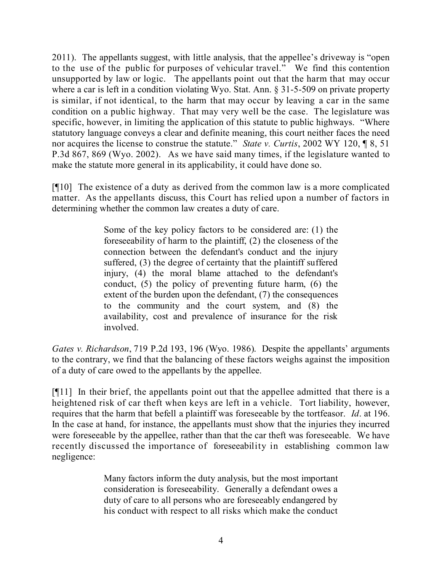2011). The appellants suggest, with little analysis, that the appellee's driveway is "open to the use of the public for purposes of vehicular travel." We find this contention unsupported by law or logic. The appellants point out that the harm that may occur where a car is left in a condition violating Wyo. Stat. Ann. § 31-5-509 on private property is similar, if not identical, to the harm that may occur by leaving a car in the same condition on a public highway. That may very well be the case. The legislature was specific, however, in limiting the application of this statute to public highways. "Where statutory language conveys a clear and definite meaning, this court neither faces the need nor acquires the license to construe the statute." *State v. Curtis*, 2002 WY 120, ¶ 8, 51 P.3d 867, 869 (Wyo. 2002). As we have said many times, if the legislature wanted to make the statute more general in its applicability, it could have done so.

[¶10] The existence of a duty as derived from the common law is a more complicated matter. As the appellants discuss, this Court has relied upon a number of factors in determining whether the common law creates a duty of care.

> Some of the key policy factors to be considered are: (1) the foreseeability of harm to the plaintiff, (2) the closeness of the connection between the defendant's conduct and the injury suffered, (3) the degree of certainty that the plaintiff suffered injury, (4) the moral blame attached to the defendant's conduct, (5) the policy of preventing future harm, (6) the extent of the burden upon the defendant, (7) the consequences to the community and the court system, and (8) the availability, cost and prevalence of insurance for the risk involved.

*Gates v. Richardson*, 719 P.2d 193, 196 (Wyo. 1986). Despite the appellants' arguments to the contrary, we find that the balancing of these factors weighs against the imposition of a duty of care owed to the appellants by the appellee.

[¶11] In their brief, the appellants point out that the appellee admitted that there is a heightened risk of car theft when keys are left in a vehicle. Tort liability, however, requires that the harm that befell a plaintiff was foreseeable by the tortfeasor. *Id*. at 196. In the case at hand, for instance, the appellants must show that the injuries they incurred were foreseeable by the appellee, rather than that the car theft was foreseeable. We have recently discussed the importance of foreseeability in establishing common law negligence:

> Many factors inform the duty analysis, but the most important consideration is foreseeability. Generally a defendant owes a duty of care to all persons who are foreseeably endangered by his conduct with respect to all risks which make the conduct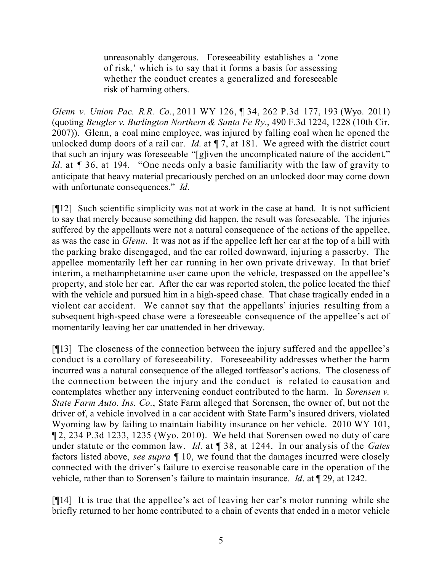unreasonably dangerous. Foreseeability establishes a 'zone of risk,' which is to say that it forms a basis for assessing whether the conduct creates a generalized and foreseeable risk of harming others.

*Glenn v. Union Pac. R.R. Co.*, 2011 WY 126, ¶ 34, 262 P.3d 177, 193 (Wyo. 2011) (quoting *Beugler v. Burlington Northern & Santa Fe Ry*., 490 F.3d 1224, 1228 (10th Cir. 2007)). Glenn, a coal mine employee, was injured by falling coal when he opened the unlocked dump doors of a rail car. *Id.* at  $\P$  7, at 181. We agreed with the district court that such an injury was foreseeable "[g]iven the uncomplicated nature of the accident." *Id.* at  $\sqrt{9}$  36, at 194. "One needs only a basic familiarity with the law of gravity to anticipate that heavy material precariously perched on an unlocked door may come down with unfortunate consequences." *Id*.

[¶12] Such scientific simplicity was not at work in the case at hand. It is not sufficient to say that merely because something did happen, the result was foreseeable. The injuries suffered by the appellants were not a natural consequence of the actions of the appellee, as was the case in *Glenn*. It was not as if the appellee left her car at the top of a hill with the parking brake disengaged, and the car rolled downward, injuring a passerby. The appellee momentarily left her car running in her own private driveway. In that brief interim, a methamphetamine user came upon the vehicle, trespassed on the appellee's property, and stole her car. After the car was reported stolen, the police located the thief with the vehicle and pursued him in a high-speed chase. That chase tragically ended in a violent car accident. We cannot say that the appellants' injuries resulting from a subsequent high-speed chase were a foreseeable consequence of the appellee's act of momentarily leaving her car unattended in her driveway.

[¶13] The closeness of the connection between the injury suffered and the appellee's conduct is a corollary of foreseeability. Foreseeability addresses whether the harm incurred was a natural consequence of the alleged tortfeasor's actions. The closeness of the connection between the injury and the conduct is related to causation and contemplates whether any intervening conduct contributed to the harm. In *Sorensen v. State Farm Auto. Ins. Co.*, State Farm alleged that Sorensen, the owner of, but not the driver of, a vehicle involved in a car accident with State Farm's insured drivers, violated Wyoming law by failing to maintain liability insurance on her vehicle. 2010 WY 101, ¶ 2, 234 P.3d 1233, 1235 (Wyo. 2010). We held that Sorensen owed no duty of care under statute or the common law. *Id*. at ¶ 38, at 1244. In our analysis of the *Gates* factors listed above, *see supra* ¶ 10, we found that the damages incurred were closely connected with the driver's failure to exercise reasonable care in the operation of the vehicle, rather than to Sorensen's failure to maintain insurance. *Id*. at ¶ 29, at 1242.

[¶14] It is true that the appellee's act of leaving her car's motor running while she briefly returned to her home contributed to a chain of events that ended in a motor vehicle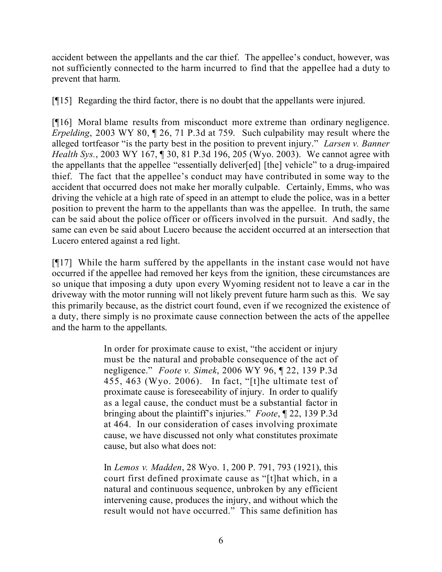accident between the appellants and the car thief. The appellee's conduct, however, was not sufficiently connected to the harm incurred to find that the appellee had a duty to prevent that harm.

[¶15] Regarding the third factor, there is no doubt that the appellants were injured.

[¶16] Moral blame results from misconduct more extreme than ordinary negligence. *Erpelding*, 2003 WY 80, ¶ 26, 71 P.3d at 759. Such culpability may result where the alleged tortfeasor "is the party best in the position to prevent injury." *Larsen v. Banner Health Sys.*, 2003 WY 167, ¶ 30, 81 P.3d 196, 205 (Wyo. 2003). We cannot agree with the appellants that the appellee "essentially deliver[ed] [the] vehicle" to a drug-impaired thief. The fact that the appellee's conduct may have contributed in some way to the accident that occurred does not make her morally culpable. Certainly, Emms, who was driving the vehicle at a high rate of speed in an attempt to elude the police, was in a better position to prevent the harm to the appellants than was the appellee. In truth, the same can be said about the police officer or officers involved in the pursuit. And sadly, the same can even be said about Lucero because the accident occurred at an intersection that Lucero entered against a red light.

[¶17] While the harm suffered by the appellants in the instant case would not have occurred if the appellee had removed her keys from the ignition, these circumstances are so unique that imposing a duty upon every Wyoming resident not to leave a car in the driveway with the motor running will not likely prevent future harm such as this. We say this primarily because, as the district court found, even if we recognized the existence of a duty, there simply is no proximate cause connection between the acts of the appellee and the harm to the appellants.

> In order for proximate cause to exist, "the accident or injury must be the natural and probable consequence of the act of negligence." *Foote v. Simek*, 2006 WY 96, ¶ 22, 139 P.3d 455, 463 (Wyo. 2006). In fact, "[t]he ultimate test of proximate cause is foreseeability of injury. In order to qualify as a legal cause, the conduct must be a substantial factor in bringing about the plaintiff's injuries." *Foote*, ¶ 22, 139 P.3d at 464. In our consideration of cases involving proximate cause, we have discussed not only what constitutes proximate cause, but also what does not:

> In *Lemos v. Madden*, 28 Wyo. 1, 200 P. 791, 793 (1921), this court first defined proximate cause as "[t]hat which, in a natural and continuous sequence, unbroken by any efficient intervening cause, produces the injury, and without which the result would not have occurred." This same definition has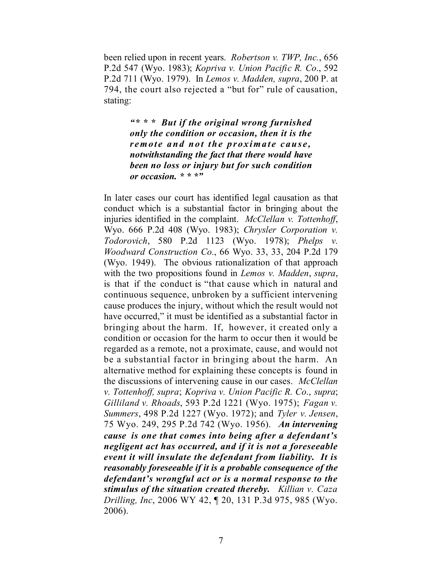been relied upon in recent years. *Robertson v. TWP, Inc.*, 656 P.2d 547 (Wyo. 1983); *Kopriva v. Union Pacific R. Co*., 592 P.2d 711 (Wyo. 1979). In *Lemos v. Madden, supra*, 200 P. at 794, the court also rejected a "but for" rule of causation, stating:

> *"\* \* \* But if the original wrong furnished only the condition or occasion, then it is the remote and not the proximate cause, notwithstanding the fact that there would have been no loss or injury but for such condition or occasion. \* \* \*"*

In later cases our court has identified legal causation as that conduct which is a substantial factor in bringing about the injuries identified in the complaint. *McClellan v. Tottenhoff*, Wyo. 666 P.2d 408 (Wyo. 1983); *Chrysler Corporation v. Todorovich*, 580 P.2d 1123 (Wyo. 1978); *Phelps v. Woodward Construction Co.*, 66 Wyo. 33, 33, 204 P.2d 179 (Wyo. 1949). The obvious rationalization of that approach with the two propositions found in *Lemos v. Madden*, *supra*, is that if the conduct is "that cause which in natural and continuous sequence, unbroken by a sufficient intervening cause produces the injury, without which the result would not have occurred," it must be identified as a substantial factor in bringing about the harm. If, however, it created only a condition or occasion for the harm to occur then it would be regarded as a remote, not a proximate, cause, and would not be a substantial factor in bringing about the harm. An alternative method for explaining these concepts is found in the discussions of intervening cause in our cases. *McClellan v. Tottenhoff, supra*; *Kopriva v. Union Pacific R. Co*., *supra*; *Gilliland v. Rhoads*, 593 P.2d 1221 (Wyo. 1975); *Fagan v. Summers*, 498 P.2d 1227 (Wyo. 1972); and *Tyler v. Jensen*, 75 Wyo. 249, 295 P.2d 742 (Wyo. 1956). *An intervening cause is one that comes into being after a defendant's negligent act has occurred, and if it is not a foreseeable event it will insulate the defendant from liability. It is reasonably foreseeable if it is a probable consequence of the defendant's wrongful act or is a normal response to the stimulus of the situation created thereby. Killian v. Caza Drilling, Inc*, 2006 WY 42, ¶ 20, 131 P.3d 975, 985 (Wyo. 2006).